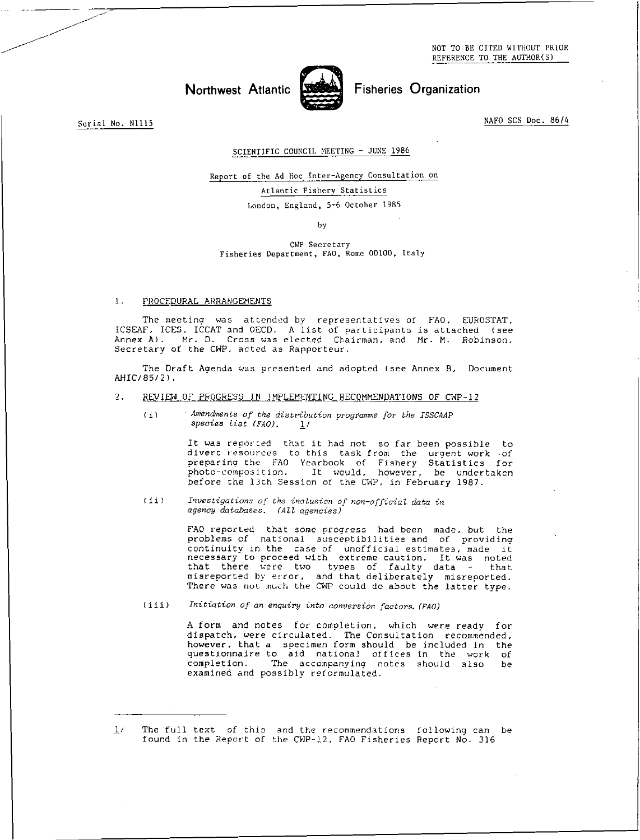NOT TO.BE CITED WITHOUT PRIOR REFERENCE TO THE AUTHOR(S)

# Northwest Atlantic Street Fisheries Organization



Serial No. N1115 NAFO SCS Doc. 86/4

## SCIENTIFIC COUNCIL MEETING - JUNE 1986

Report of the Ad Hoc Inter-Agency Consultation on Atlantic Fishery Statistics

London, England, 5-6 October 1985

by

CWP Secretary Fisheries Department, FAO, Rome 00100, Italy

#### 1. PROCEDURAL ARRANGEMENTS

The meeting was attended by representatives of FAO, EUROSTAT, ICSEAF, ICES, ICCAT and OECD. A list of participants is attached (see Annex A). Mr. D. Cross was elected Chairman, and Mr. M. Robinson, Secretary of the CWP, acted as Rapporteur.

The Draft Agenda was presented and adopted (see Annex B, Document AHIC/85/2).

# 2. REVIEW OF PROGRESS IN IMPLEMENTING RECOMMENDATIONS OF CWP-12

*Amendments of the distribution programme for the ISSCAAP species list (FAO). 1/*   $(i)$ 

> It was reported that it had not so far been possible to divert resources to this task from the urgent work -of preparing the FAO Yearbook of Fishery Statistics for photo-composition. It would, however, be undertaken before the 13th Session of the CWP, in February 1987.

*(ii) Investigations oj' the inclusion of non-official data in agency databases.* (All *agencies)* 

> FAO reported that some progress had been made, but the problems of national susceptibilities and of providing continuity in the case of unofficial estimates, made it necessary to proceed with extreme caution. It was noted that there were two types of faulty data - that misreported by error, and that deliberately misreported. There was not much the CWP could do about the latter type.

*(iii) Initiation of an enquiry into conversion factors. (FAO)* 

A form and notes for completion, which were ready for dispatch, were circulated. The Consultation recommended, however, that a specimen form should be included in the questionnaire to aid national offices in the work of completion. The accompanying notes should also be examined and possibly reformulated.

<sup>1/</sup> The full text of this and the recommendations following can be found in the Report of the CWP-12, FAO Fisheries Report No. 316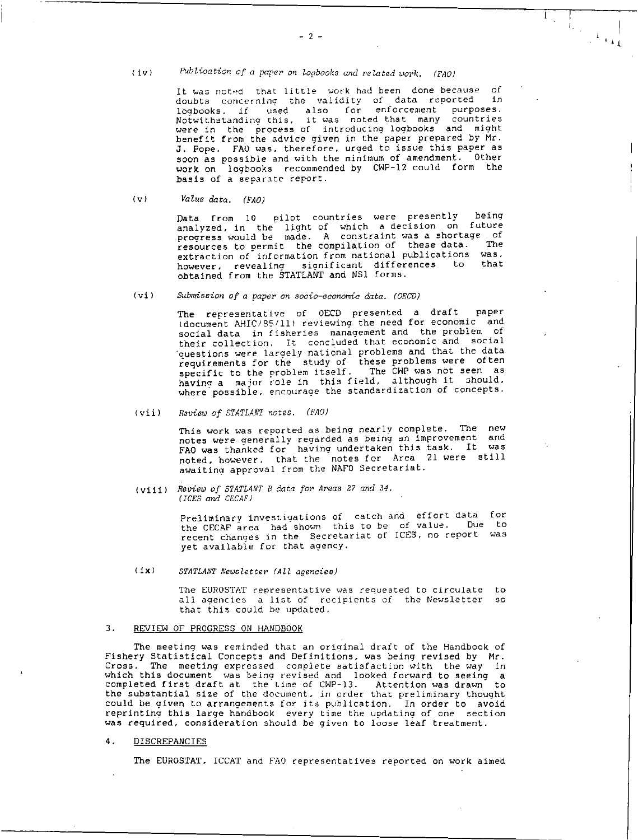(iv) *Publication of a paper on Zogbooks and related work. (FAO)* 

It was noted that little work had been done because of doubts concerning the validity of data reported in logbooks, if used also for enforcement purposes. Notwithstanding this, it was noted that many countries were in the process of introducing logbooks and might benefit from the advice given in the paper prepared by Mr. J. Pope. FAO was, therefore, urged to issue this paper as soon as possible and with the minimum of amendment. Other work on logbooks recommended by CWP-12 could form the basis of a separate report.

 $1$ 

 $\mathbf{1}$ 

*(v) Value data. (FAO)* 

Data from 10 pilot countries were presently being analyzed, in the light of which a decision on future progress would be made. A constraint was a shortage of resources to permit the compilation of these data. The extraction of information from national publications was,<br>because consoling significant differences to that however, revealing sianificant differences to that obtained from the STATLANT and NS1 forms.

lvi) *Submission of a paper on socio -economic data. (OECD)* 

The representative of OECD presented a draft paper (document AHIC/S5/11) reviewing the need for economic and social data in fisheries management and the problem of their collection. It concluded that economic and social questions were largely national problems and that the data requirements for the study of these problems were often specific to the problem itself. The CHP was not seen as having a major role in this field, although it should, where possible, encourage the standardization of concepts.

*(vii) Review of STATLANT notes. (FAO)* 

This work was reported as being nearly complete. The new notes were generally regarded as being an improvement and FAO was thanked for having undertaken this task. It was noted, however, that the notes for Area 21 were still awaiting approval from the NAFO Secretariat.

*(viii) Review of STATLANT B data for Areas* 27 *and 34. (ICES and CECAF) •* 

> Preliminary investigations of catch and effort data for the CECAF area had shown this to be of value. Due to recent changes in the Secretariat of ICES, no report was yet available for that agency.

#### Ifx) *STATLANT Newsletter (All agencies)*

The EUROSTAT representative was requested to circulate to all agencies a list of recipients of the Newsletter so that this could be updated.

#### 3. REVIEW OF PROGRESS ON HANDBOOK

The meeting was reminded that an original draft of the Handbook of Fishery Statistical Concepts and Definitions, was being revised by Mr.<br>Cross. The meeting expressed complete satisfaction with the way in The meeting expressed complete satisfaction with the way in which this document was being revised and looked forward to seeing a completed first draft at the time of CWP-13. Attention was drawn to the substantial size of the document, in order that preliminary thought could be given to arrangements for its publication. In order to avoid reprinting this large handbook every time the updating of one section was required, consideration should be given to loose leaf treatment.

# 4. DISCREPANCIES

The EUROSTAT, ICCAT and FAO representatives reported on work aimed

 $-2 -$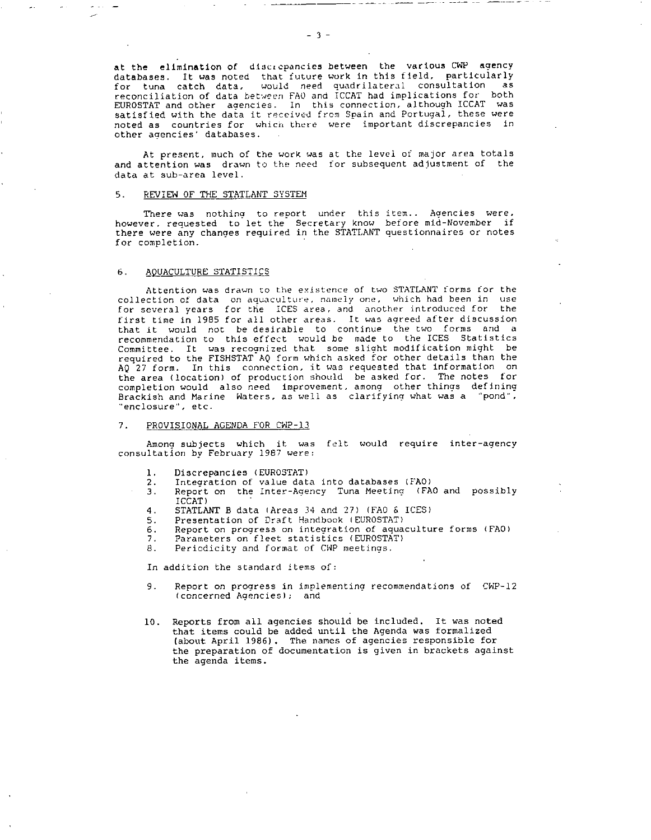at the elimination of discicpancies between the various CWP agency databases. It was noted that future work in this field, particularly for tuna catch data, would need quadrilateral consultation as reconciliation of data between FAO and ICCAT had implications for both EUROSTAT and other agencies. In this connection, although ICCAT was satisfied with the data it received from Spain and Portugal, these were noted as countries for which there were important discrepancies in other agencies' databases.

At present, much of the work was at the level of major area totals and attention was drawn to the need for subsequent adiustment of the data at sub-area level.

#### 5. REVIEW OF THE STATLANT SYSTEM

There was nothing to report under this item.. Agencies were, however, requested to let the Secretary know before mid-November if there were any changes required in the STATLANT questionnaires or notes for completion.

#### 6. AQUACULTURE STATISTICS

Attention was drawn to the existence of two STATLANT forms for the collection of data on aquaculture, namely one, which had been in use<br>for several vears, for the ICES area, and another introduced for the for several years for the ICES area, and another introduced for first time in 1985 for all other areas. It was agreed after discussion that it would not be desirable to continue the two forms and a recommendation to this effect would be made to the ICES Statistics Committee. It was recognized that some slight modification might be required to the FISHSTAT AQ form which asked for other details than the AQ 27 form. In this connection, it was requested that information on the area (location) of production should be asked for. The notes for completion would also need improvement, among other things defining Brackish and Marine Waters, as well as clarifying what was a "pond", "enclosure", etc.

# 7. PROVISIONAL AGENDA FOR CWP-13

Among subjects which it was felt would require inter-agency consultation by February 1987 were:

- 
- 1. Discrepancies (EUROSTAT)<br>2. Integration of value dat 2. Integration of value data into databases (FAO)<br>3. Report on the Inter-Agency Tuna Meeting (FA
- Report on the Inter-Agency Tuna Meeting (FAO and possibly ICCAT)
	-
- 4. STATLANT B data (Areas 34 and 27) (FAO & ICES)
- 5. Presentation of Draft Handbook (EUROSTAT)<br>6. Report on progress on integration of aqua 6. Report on progress on integration of aquaculture forms (FAO)
- 7. Parameters on fleet statistics (EUROSTAT)<br>8. Periodicity and format of CMP meetings.
- Periodicity and format of CWP meetings.

In addition the standard items of:

- 9. Report on progress in implementing recommendations of CWP-12 (concerned Agencies); and
- 10. Reports from all agencies should be included. It was noted that items could be added until the Agenda was formalized (about April 1986). The names of agencies responsible for the preparation of documentation is given in brackets against the agenda items.